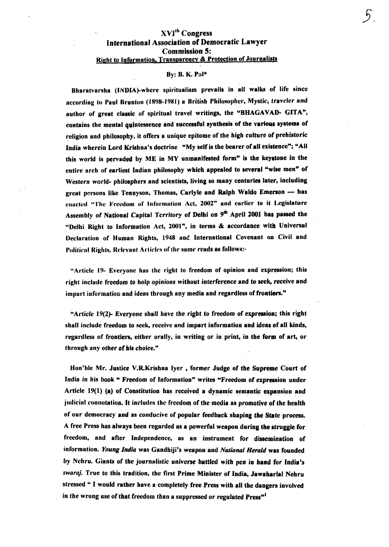## **XVI<sup>th</sup>** Congress **International Association of Democratic Lawver Commission 5:** Right to Information, Transparency & Protection of Journalists

## By: B. K. Pal\*

Bharatvarsha (INDIA)-where spiritualism prevails in all walks of life since according to Paul Brunton (1898-1981) a British Philosopher, Mystic, traveler and author of great classic of spiritual travel writings, the "BHAGAVAD- GITA", contains the mental quintessence and successful synthesis of the various systems of religion and philosophy, it offers a unique epitome of the high culture of prehistoric India wherein Lord Krishna's doctrine "My self is the bearer of all existence"; "All this world is pervaded by ME in MY unmanifested form" is the keystone in the entire arch of earliest Indian philosophy which appealed to several "wise men" of Western world- philosphers and scientists, living so many centuries later, including great persons like Tennyson, Thomas, Carlyle and Ralph Waldo Emerson -- has enacted "The Freedom of Information Act, 2002" and earlier to it Legislature Assembly of National Capital Territory of Delhi on 9<sup>th</sup> April 2001 has passed the "Delhi Right to Information Act, 2001", in terms & accordance with Universal Declaration of Human Rights, 1948 and International Covenant on Civil and Political Rights. Relevant Articles of the same reads as follows:-

"Article 19- Everyone has the right to freedom of opinion and expression; this right include freedom to holp opinions without interference and to seek, receive and impart information and ideas through any media and regardless of frontiers."

"Article 19(2)- Everyone shall have the right to freedom of expression; this right shall include freedom to seek, receive and impart information and ideas of all kinds, regardless of frontiers, either orally, in writing or in print, in the form of art, or through any other of his choice."

Hon'ble Mr. Justice V.R.Krishna Iyer, former Judge of the Supreme Court of India in his book " Freedom of Information" writes "Freedom of expression under Article 19(1) (a) of Constitution has received a dynamic semantic expansion and judicial connotation. It includes the freedom of the media as promotive of the health of our democracy and as conducive of popular feedback shaping the State process. A free Press has always been regarded as a powerful weapon during the struggle for freedom, and after Independence, as an instrument for dissemination of information. Young India was Gandhiji's weapon and National Herald was founded by Nehru. Giants of the journalistic universe battled with pen in hand for India's swaraj. True to this tradition, the first Prime Minister of India, Jawaharlal Nehru stressed " I would rather have a completely free Press with all the dangers involved in the wrong use of that freedom than a suppressed or regulated Press<sup>"1</sup>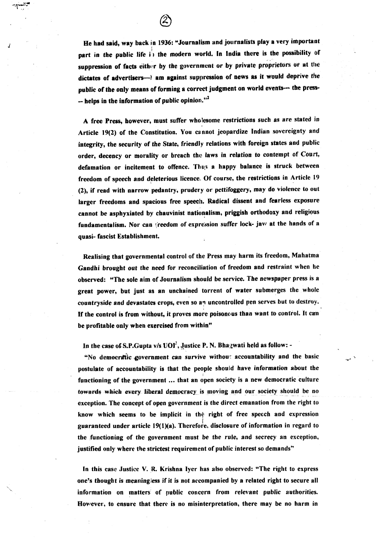He had said, way back in 1936: "Journalism and journalists play a very important part in the public life in the modern world. In India there is the possibility of suppression of facts either by the government or by private proprietors or at the dictates of advertisers-) am against suppression of news as it would deprive the public of the only means of forming a correct judgment on world events- the press- $-$  helps in the information of public opinion."<sup>2</sup>

A free Press, however, must suffer wholesome restrictions such as are stated in Article **19(2)** of the Constitution, You cannot jeopardize Indian sovereignty and integrity, the security of the State, friendly relations with foreign states and public order, decency or morality or breach the laws in relation to contempt of Court, defamation or incitement to offence. Thus a happy balance is struck between freedom of speech and deleterious licence.. Of course, the restrictions in Article 19 **(2),** if read with narrow pedantry, prudery or pettifoggery, may do violence to out larger freedoms and spacious free speech. Radical dissent and fearless exposure cannot be asphyxiated by chauvinist nationalism, priggish orthodoxy and religious fundamentalism. Nor can treedom of expression suffer lock- jaw at the hands of a quasi- fascist Establishment.

Realising that governmental control of the Press may harm its freedom, Mahatma Gandhi brought out the need for reconciliation of freedom and restraint when he observed: "The sole aim of Journalism should be service. The newspaper press is a great power, but just as an unchained torrent **of** water submerges the whole countryside and devastates crops, even so an uncontrolled pen serves but to destroy. If the control is from without, it proves more poisonous than want to control. It can be profitable only when exercised from within"

In the case of S.P.Gupta  $v/s$  UOI<sup>3</sup>, Justice P. N. Bhagwati held as follow: -

"No democratic government can survive without accountability and the basic postulate of accountability is that the people should have information about the functioning of the government ... that an open society is a new democratic culture *tewards which every liberal democracy* is moving and our society should be no exception. The concept of open government is the direct emanation from the right to know which seems to be implicit in the right of free speech and expression guaranteed under article 19(1)(a). Therefore, disclosure of information in regard to the functioning of the government must be the rule, and secrecy an exception, justified only where the strictest requirement of public interest so demands"

In this case Justice V. R. Krishna lyer has also observed: "The right to express one's thought is meaningless if it is not accompanied by a related right to secure all information on matters of public concern from relevant public authorities. However, to ensure that there is no misinterpretation, there may be no harm in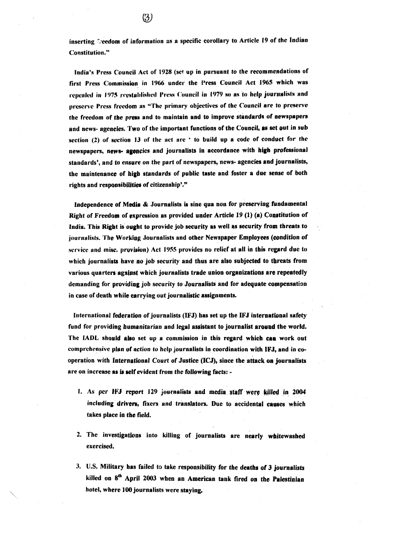inserting freedom of information as a specific corollary to Article 19 of the Indian Constitution."

India's Press Council Act of 1928 (set up in pursuant to the recommendations of first Press Commission in 1966 under the Press Council Act 1965 which was repealed in 1975 reestablished Press Council in 1979 so as to help journalists and preserve Press freedom as "The primary objectives of the Council are to preserve the freedom of the press and to maintain and to improve standards of newspapers and news- agencies. Two of the important functions of the Council, as set out in sub section (2) of section 13 of the act are ' to build up a code of conduct for the newspapers, news- agencies and journalists in accordance with high professional standards', and to ensure on the part of newspapers, news- agencies and journalists, the maintenance of high standards of public taste and foster a due sense of both rights and responsibilities of citizenship'."

Independence of Media & Journalists is sine qua non for preserving fundamental Right of Freedom of expression as provided under Article 19 (1) (a) Constitution of India. This Right is ought to provide job security as well as security from threats to journalists. The Working Journalists and other Newspaper Employees (condition of service and misc. provision) Act 1955 provides no relief at all in this regard due to which journalists have no job security and thus are also subjected to threats from various quarters against which journalists trade union organizations are repeatedly demanding for providing job security to Journalists and for adequate compensation in case of death while carrying out journalistic assignments.

International federation of journalists (IFJ) has set up the IFJ international safety fund for providing humanitarian and legal assistant to journalist around the world. The IADL should also set up a commission in this regard which can work out comprehensive plan of action to help journalists in coordination with IFJ, and in cooperation with International Court of Justice (ICJ), since the attack on journalists are on increase as is self evident from the following facts: -

- 1. As per IFJ report 129 journalists and media staff were killed in 2004 including drivers, fixers and translators. Due to accidental causes which takes place in the field.
- 2. The investigations into killing of journalists are nearly whitewashed exercised.
- 3. U.S. Military has failed to take responsibility for the deaths of 3 journalists killed on 8<sup>th</sup> April 2003 when an American tank fired on the Palestinian hotel, where 100 journalists were staying.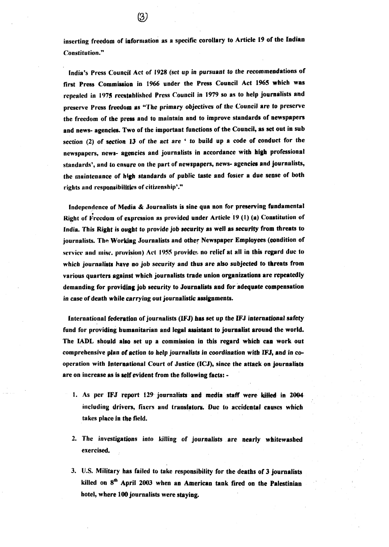inserting freedom of information as a specific corollary to Article 19 of the Indian Constitution."

India's Press Council Act of **1928** (set up in pursuant to the recommendations of first Press Commission in 1966 under the Press Council Act 1965 which was repealed in **1979** reestablished Press Council in **1979** so as to help journalists and preserve Press freedom as "The primary objectives of the Council are to preserve the freedom of the press and to maintain and to improve standards of newspapers and news- agencies. Two of the important functions of the Council, as set out in sub section (2) of section **13** of the act are ' to build up a code of conduct for the newspapers, news- ageacies and journalists in accordance with **high** professional standards', and to ensure on the part of newspapers, news- agencies and journalists, the maintenance of high standards of public taste and foster a due sense of both rights and responsibilities of citizenship'."

Independence of Media & Journalists is sine qua non for preserving fundamental Right of Freedom of expression as provided under Article 19 (1) (a) Constitution of India. This Right is ought to provide job security as well as security from threats to journalists. The Working Journalists and other Newspaper Employees (condition of wervice and misc. provision) Act 1955 provides no relief at all in this regard due to which journalists have no job security and thus are also subjected to threats from various quarters against which journalists trade union organizations are repeatedly demanding for providing job security to Journalists and for adequate compensation in case of death while carrying out journalistic assignments.

International federatioa of journalists **(WJ)** bas set up the **IFJ** international safety fund for providing humanitarian and legal assistant to journalist around the world. The IADL should alsa set up a commission in this regard which **can** work out comprehensive plan **of** action to help journalists in coordination with **IFJ,** and in cooperation with International Court of Justice (ICJ), since the attack on journalists are on increase as is relf evident from the following facts: -

- 1. As per IFJ report 129 journalists and media staff were killed in 2004 including drivers, fixers and translators. Due to accidental causes which takes place fn the field.
- 2. The investigations into killing of journalists are nearly whitewashed exercised.
- 3. U.S. Military has failed to take responsibility for the deaths of 3 journalists killed on 8<sup>th</sup> April 2003 when an American tank fired on the Palestinian hotel, where 100 journalists were staying.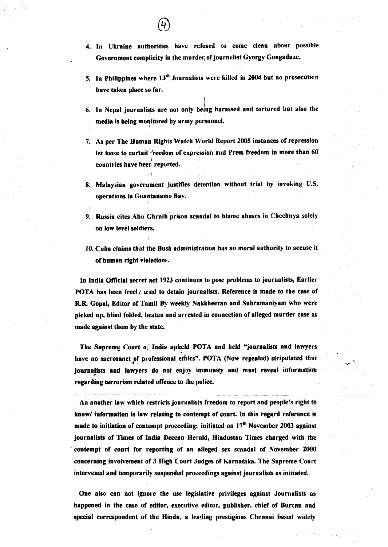- 5. In Philippines where 13<sup>th</sup> Journalists were killed in 2004 but no prosecution have taken place so far.
- 6. In Nepal journalists are not only being harassed and tortured but also the media is being monitored by army personnel.
- 7. As per The Human Rights Watch World Report 2005 instances of repression let loose to curtail <sup>r</sup>reedom of expression and Press freedom in more than 60 countries have **bee;** reported.
- 8. Malaysian government justifies detention without trial by invoking U.S. operations in Guantanamo Bay.
- 9. Russia cites Abu Ghraib prison scandal to blame abuses in Chechnya solely on low level soldiers,
- **10.** Cuba claims that the Bush administration has no moral authority to accuse it of human right violations.

In India Official secret act **1923** continues to pose problems to journalists, Earlier POTA has been freely uned to detain journalists. Reference is made to the case of RR Gopal, Editor of Tamil By weekly Nakkheeran and Subramaniyam who **were**  picked up, blind folded, beaten and arrested in connection of alleged murder case as made against them by the state.

The Supreme Court of India upheld POTA and held "journalists and lawyers<br>have no sacrosanct of professional ethics". POTA (Now repealed) stripulated that journalists and lawyers do not enjoy immunity and must reveal information regarding terrorism related offence to the police.

- - - - - - - - An another law which restricts journalists freedom to report and people's right to know/ information is law relating to contempt of court. In this regard reference is made to initiation of contempt proceeding:. initiated on 17" November **2003** against journalists of Times of India Deccan Herald, Hindustan Times charged with the contempt of court for reporting of an alleged sex scandal of November **2000**  concerning involvement of **3** High Court Judges of Karnataka. The Supreme Court intervened and temporarily suspended proceedings against journalists as initiated.

One also can not ignore the use legislative privileges against Journalists as happened in the case of editor, executive editor, publisher, chief of Burcan and special correspondent of the Hindu, a leading prestigious Chennai based widely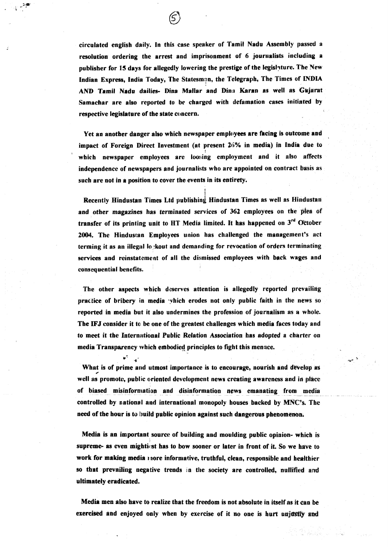circulated english daily. In this case speaker of Tamil Nadu Assembly passed a resolution ordering the arrest and imprisonment of 6 journalists including a publisher for 15 days for allegedly lowering the prestige of the legislature. The New Indian Express, India Today, The Statesman, the Telegraph, The Times of **INDIA** AND Tamil Nadu dailies- Dina Mallar and Dina Karan as well as Gujarat Samachar are also reported to be charged with defamation cases initiated **by**  respective legislature of the state concern.

Yet an another danger also which newspaper employees are facing is outcome **and**  impact of Foreign Direct Investment (at present 26% in media) in India due to **1**  which newspaper employees are loosing employment and it also affects independence of newspapers and journalists who are appointed on contract basis as such are not in a position to cover the events in its entirety.

I Recently Hindustan Times Ltd publishing Hindustan Times as well as Hindustan and other magazines has terminated services of 362 employees on the piea of transfer of its printing unit to HT Media limited. It has happened on 3<sup>rd</sup> October 2004. The Hindustan Employees union has challenged the management's act terming it as an illegal lo: kout and demanding for revocation of orders terminating services and reinstatement of all the dismissed employees with back wages and consequential benefits.

The other aspects which deserves attention is allegedly reported prevaihig practice of bribery in media which erodes not only public faith in the news so reported in media but it also undermines the profession of journalism as a whole. The **IFJ** consider it to be one of the greatest challenges which media faces today and to meet it the International Public Relation Association has adopted a charter on media Transparency which embodied principles to fight this mensce.

**C' J'** -\* What is of prime and utmost importance is to encourage, nourish and develop as well as promote, public oriented development news creating awareness and in place of biased misinformation and disinformation news emanating from media controlled by national and international monopoly houses backed by **MNC's.** The need of the hour is to build public opinion against such dangerous phenomenon,

Media is an important source of building and moulding public opinion- which is supreme- as even mightiest has to bow sooner or later in front of it. So **we have** to work for making media *more informative*, truthful, clean, responsible and healthier so that prevailing negative trends **In** the society are controlled, nullified and ultimately eradicated.

Media men also have to realize that the freedom is not absolute in itself as it Can be exercised and enjoyed only when by exercise of it no one is hurt unjustly and